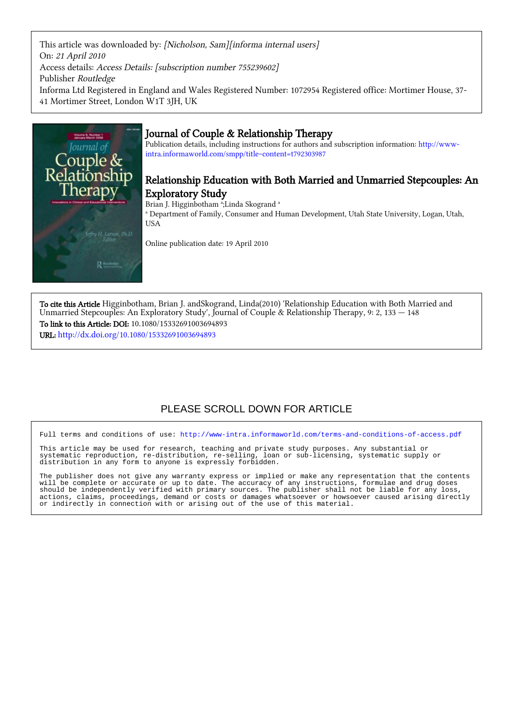This article was downloaded by: [Nicholson, Sam][informa internal users] On: 21 April 2010 Access details: Access Details: [subscription number 755239602] Publisher Routledge Informa Ltd Registered in England and Wales Registered Number: 1072954 Registered office: Mortimer House, 37- 41 Mortimer Street, London W1T 3JH, UK



## Journal of Couple & Relationship Therapy

Publication details, including instructions for authors and subscription information: [http://www](http://www-intra.informaworld.com/smpp/title~content=t792303987)[intra.informaworld.com/smpp/title~content=t792303987](http://www-intra.informaworld.com/smpp/title~content=t792303987)

## Relationship Education with Both Married and Unmarried Stepcouples: An Exploratory Study

Brian J. Higginbotham <sup>a</sup>;Linda Skogrand <sup>a</sup>

a Department of Family, Consumer and Human Development, Utah State University, Logan, Utah, **USA** 

Online publication date: 19 April 2010

To cite this Article Higginbotham, Brian J. andSkogrand, Linda(2010) 'Relationship Education with Both Married and Unmarried Stepcouples: An Exploratory Study', Journal of Couple & Relationship Therapy, 9: 2, 133 — 148 To link to this Article: DOI: 10.1080/15332691003694893 URL: <http://dx.doi.org/10.1080/15332691003694893>

# PLEASE SCROLL DOWN FOR ARTICLE

Full terms and conditions of use:<http://www-intra.informaworld.com/terms-and-conditions-of-access.pdf>

This article may be used for research, teaching and private study purposes. Any substantial or systematic reproduction, re-distribution, re-selling, loan or sub-licensing, systematic supply or distribution in any form to anyone is expressly forbidden.

The publisher does not give any warranty express or implied or make any representation that the contents will be complete or accurate or up to date. The accuracy of any instructions, formulae and drug doses should be independently verified with primary sources. The publisher shall not be liable for any loss, actions, claims, proceedings, demand or costs or damages whatsoever or howsoever caused arising directly or indirectly in connection with or arising out of the use of this material.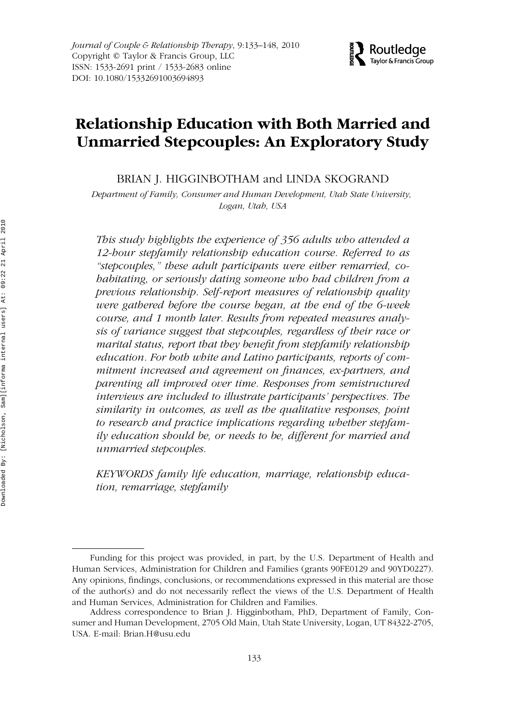

# **Relationship Education with Both Married and Unmarried Stepcouples: An Exploratory Study**

BRIAN J. HIGGINBOTHAM and LINDA SKOGRAND

*Department of Family, Consumer and Human Development, Utah State University, Logan, Utah, USA*

*This study highlights the experience of 356 adults who attended a 12-hour stepfamily relationship education course. Referred to as "stepcouples," these adult participants were either remarried, cohabitating, or seriously dating someone who had children from a previous relationship. Self-report measures of relationship quality were gathered before the course began, at the end of the 6-week course, and 1 month later. Results from repeated measures analysis of variance suggest that stepcouples, regardless of their race or marital status, report that they benefit from stepfamily relationship education. For both white and Latino participants, reports of commitment increased and agreement on finances, ex-partners, and parenting all improved over time. Responses from semistructured interviews are included to illustrate participants' perspectives. The similarity in outcomes, as well as the qualitative responses, point to research and practice implications regarding whether stepfamily education should be, or needs to be, different for married and unmarried stepcouples.*

*KEYWORDS family life education, marriage, relationship education, remarriage, stepfamily*

Funding for this project was provided, in part, by the U.S. Department of Health and Human Services, Administration for Children and Families (grants 90FE0129 and 90YD0227). Any opinions, findings, conclusions, or recommendations expressed in this material are those of the author(s) and do not necessarily reflect the views of the U.S. Department of Health and Human Services, Administration for Children and Families.

Address correspondence to Brian J. Higginbotham, PhD, Department of Family, Consumer and Human Development, 2705 Old Main, Utah State University, Logan, UT 84322-2705, USA. E-mail: Brian.H@usu.edu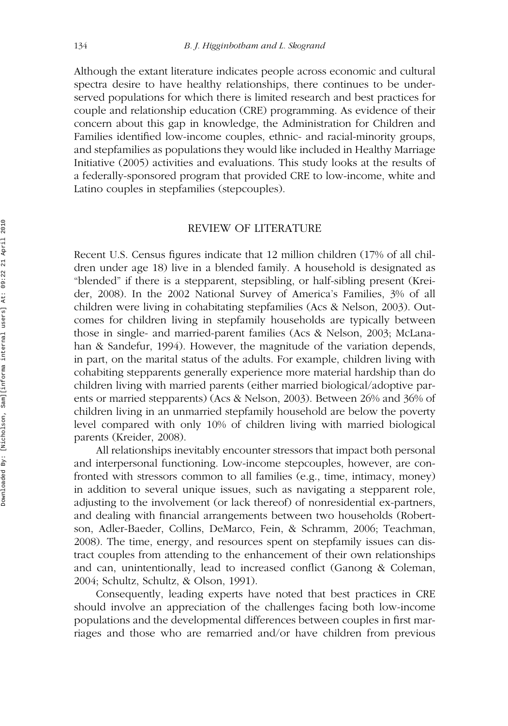Although the extant literature indicates people across economic and cultural spectra desire to have healthy relationships, there continues to be underserved populations for which there is limited research and best practices for couple and relationship education (CRE) programming. As evidence of their concern about this gap in knowledge, the Administration for Children and Families identified low-income couples, ethnic- and racial-minority groups, and stepfamilies as populations they would like included in Healthy Marriage Initiative (2005) activities and evaluations. This study looks at the results of a federally-sponsored program that provided CRE to low-income, white and Latino couples in stepfamilies (stepcouples).

## REVIEW OF LITERATURE

Recent U.S. Census figures indicate that 12 million children (17% of all children under age 18) live in a blended family. A household is designated as "blended" if there is a stepparent, stepsibling, or half-sibling present (Kreider, 2008). In the 2002 National Survey of America's Families, 3% of all children were living in cohabitating stepfamilies (Acs & Nelson, 2003). Outcomes for children living in stepfamily households are typically between those in single- and married-parent families (Acs & Nelson, 2003; McLanahan & Sandefur, 1994). However, the magnitude of the variation depends, in part, on the marital status of the adults. For example, children living with cohabiting stepparents generally experience more material hardship than do children living with married parents (either married biological/adoptive parents or married stepparents) (Acs & Nelson, 2003). Between 26% and 36% of children living in an unmarried stepfamily household are below the poverty level compared with only 10% of children living with married biological parents (Kreider, 2008).

All relationships inevitably encounter stressors that impact both personal and interpersonal functioning. Low-income stepcouples, however, are confronted with stressors common to all families (e.g., time, intimacy, money) in addition to several unique issues, such as navigating a stepparent role, adjusting to the involvement (or lack thereof) of nonresidential ex-partners, and dealing with financial arrangements between two households (Robertson, Adler-Baeder, Collins, DeMarco, Fein, & Schramm, 2006; Teachman, 2008). The time, energy, and resources spent on stepfamily issues can distract couples from attending to the enhancement of their own relationships and can, unintentionally, lead to increased conflict (Ganong & Coleman, 2004; Schultz, Schultz, & Olson, 1991).

Consequently, leading experts have noted that best practices in CRE should involve an appreciation of the challenges facing both low-income populations and the developmental differences between couples in first marriages and those who are remarried and/or have children from previous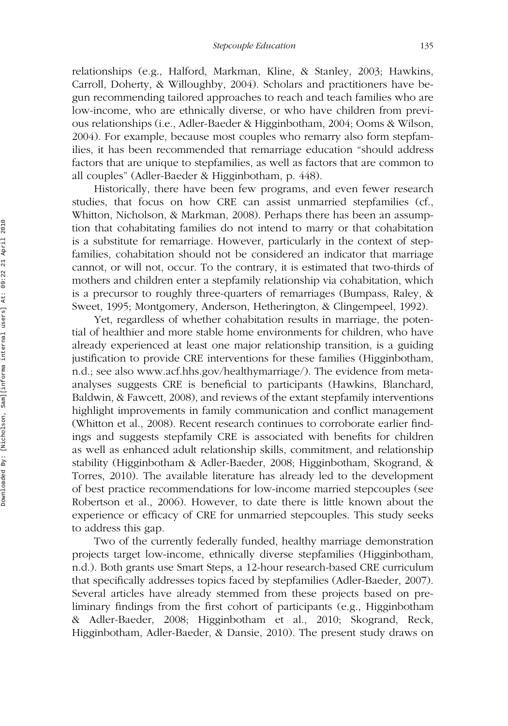relationships (e.g., Halford, Markman, Kline, & Stanley, 2003; Hawkins, Carroll, Doherty, & Willoughby, 2004). Scholars and practitioners have begun recommending tailored approaches to reach and teach families who are low-income, who are ethnically diverse, or who have children from previous relationships (i.e., Adler-Baeder & Higginbotham, 2004; Ooms & Wilson, 2004). For example, because most couples who remarry also form stepfamilies, it has been recommended that remarriage education "should address factors that are unique to stepfamilies, as well as factors that are common to all couples" (Adler-Baeder & Higginbotham, p. 448).

Historically, there have been few programs, and even fewer research studies, that focus on how CRE can assist unmarried stepfamilies (cf., Whitton, Nicholson, & Markman, 2008). Perhaps there has been an assumption that cohabitating families do not intend to marry or that cohabitation is a substitute for remarriage. However, particularly in the context of stepfamilies, cohabitation should not be considered an indicator that marriage cannot, or will not, occur. To the contrary, it is estimated that two-thirds of mothers and children enter a stepfamily relationship via cohabitation, which is a precursor to roughly three-quarters of remarriages (Bumpass, Raley, & Sweet, 1995; Montgomery, Anderson, Hetherington, & Clingempeel, 1992).

Yet, regardless of whether cohabitation results in marriage, the potential of healthier and more stable home environments for children, who have already experienced at least one major relationship transition, is a guiding justification to provide CRE interventions for these families (Higginbotham, n.d.; see also www.acf.hhs.gov/healthymarriage/). The evidence from metaanalyses suggests CRE is beneficial to participants (Hawkins, Blanchard, Baldwin, & Fawcett, 2008), and reviews of the extant stepfamily interventions highlight improvements in family communication and conflict management (Whitton et al., 2008). Recent research continues to corroborate earlier findings and suggests stepfamily CRE is associated with benefits for children as well as enhanced adult relationship skills, commitment, and relationship stability (Higginbotham & Adler-Baeder, 2008; Higginbotham, Skogrand, & Torres, 2010). The available literature has already led to the development of best practice recommendations for low-income married stepcouples (see Robertson et al., 2006). However, to date there is little known about the experience or efficacy of CRE for unmarried stepcouples. This study seeks to address this gap.

Two of the currently federally funded, healthy marriage demonstration projects target low-income, ethnically diverse stepfamilies (Higginbotham, n.d.). Both grants use Smart Steps, a 12-hour research-based CRE curriculum that specifically addresses topics faced by stepfamilies (Adler-Baeder, 2007). Several articles have already stemmed from these projects based on preliminary findings from the first cohort of participants (e.g., Higginbotham & Adler-Baeder, 2008; Higginbotham et al., 2010; Skogrand, Reck, Higginbotham, Adler-Baeder, & Dansie, 2010). The present study draws on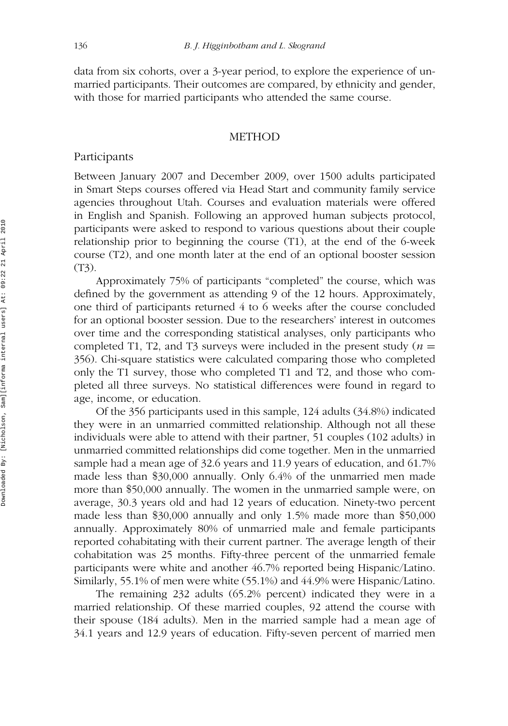data from six cohorts, over a 3-year period, to explore the experience of unmarried participants. Their outcomes are compared, by ethnicity and gender, with those for married participants who attended the same course.

#### METHOD

Participants

Between January 2007 and December 2009, over 1500 adults participated in Smart Steps courses offered via Head Start and community family service agencies throughout Utah. Courses and evaluation materials were offered in English and Spanish. Following an approved human subjects protocol, participants were asked to respond to various questions about their couple relationship prior to beginning the course (T1), at the end of the 6-week course (T2), and one month later at the end of an optional booster session (T3).

Approximately 75% of participants "completed" the course, which was defined by the government as attending 9 of the 12 hours. Approximately, one third of participants returned 4 to 6 weeks after the course concluded for an optional booster session. Due to the researchers' interest in outcomes over time and the corresponding statistical analyses, only participants who completed T1, T2, and T3 surveys were included in the present study ( $n =$ 356). Chi-square statistics were calculated comparing those who completed only the T1 survey, those who completed T1 and T2, and those who completed all three surveys. No statistical differences were found in regard to age, income, or education.

Of the 356 participants used in this sample, 124 adults (34.8%) indicated they were in an unmarried committed relationship. Although not all these individuals were able to attend with their partner, 51 couples (102 adults) in unmarried committed relationships did come together. Men in the unmarried sample had a mean age of 32.6 years and 11.9 years of education, and 61.7% made less than \$30,000 annually. Only 6.4% of the unmarried men made more than \$50,000 annually. The women in the unmarried sample were, on average, 30.3 years old and had 12 years of education. Ninety-two percent made less than \$30,000 annually and only 1.5% made more than \$50,000 annually. Approximately 80% of unmarried male and female participants reported cohabitating with their current partner. The average length of their cohabitation was 25 months. Fifty-three percent of the unmarried female participants were white and another 46.7% reported being Hispanic/Latino. Similarly, 55.1% of men were white (55.1%) and 44.9% were Hispanic/Latino.

The remaining 232 adults (65.2% percent) indicated they were in a married relationship. Of these married couples, 92 attend the course with their spouse (184 adults). Men in the married sample had a mean age of 34.1 years and 12.9 years of education. Fifty-seven percent of married men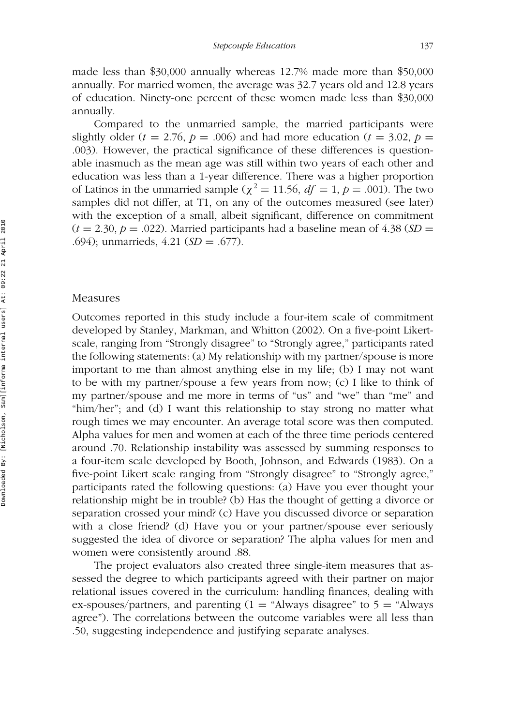made less than \$30,000 annually whereas 12.7% made more than \$50,000 annually. For married women, the average was 32.7 years old and 12.8 years of education. Ninety-one percent of these women made less than \$30,000 annually.

Compared to the unmarried sample, the married participants were slightly older ( $t = 2.76$ ,  $p = .006$ ) and had more education ( $t = 3.02$ ,  $p =$ .003). However, the practical significance of these differences is questionable inasmuch as the mean age was still within two years of each other and education was less than a 1-year difference. There was a higher proportion of Latinos in the unmarried sample ( $\chi^2 = 11.56$ ,  $df = 1$ ,  $p = .001$ ). The two samples did not differ, at T1, on any of the outcomes measured (see later) with the exception of a small, albeit significant, difference on commitment  $(t = 2.30, p = .022)$ . Married participants had a baseline mean of 4.38 (*SD* = .694); unmarrieds, 4.21 (*SD* = .677).

#### Measures

Outcomes reported in this study include a four-item scale of commitment developed by Stanley, Markman, and Whitton (2002). On a five-point Likertscale, ranging from "Strongly disagree" to "Strongly agree," participants rated the following statements: (a) My relationship with my partner/spouse is more important to me than almost anything else in my life; (b) I may not want to be with my partner/spouse a few years from now; (c) I like to think of my partner/spouse and me more in terms of "us" and "we" than "me" and "him/her"; and (d) I want this relationship to stay strong no matter what rough times we may encounter. An average total score was then computed. Alpha values for men and women at each of the three time periods centered around .70. Relationship instability was assessed by summing responses to a four-item scale developed by Booth, Johnson, and Edwards (1983). On a five-point Likert scale ranging from "Strongly disagree" to "Strongly agree," participants rated the following questions: (a) Have you ever thought your relationship might be in trouble? (b) Has the thought of getting a divorce or separation crossed your mind? (c) Have you discussed divorce or separation with a close friend? (d) Have you or your partner/spouse ever seriously suggested the idea of divorce or separation? The alpha values for men and women were consistently around .88.

The project evaluators also created three single-item measures that assessed the degree to which participants agreed with their partner on major relational issues covered in the curriculum: handling finances, dealing with ex-spouses/partners, and parenting  $(1 = "Always disagree" to 5 = "Always$ agree"). The correlations between the outcome variables were all less than .50, suggesting independence and justifying separate analyses.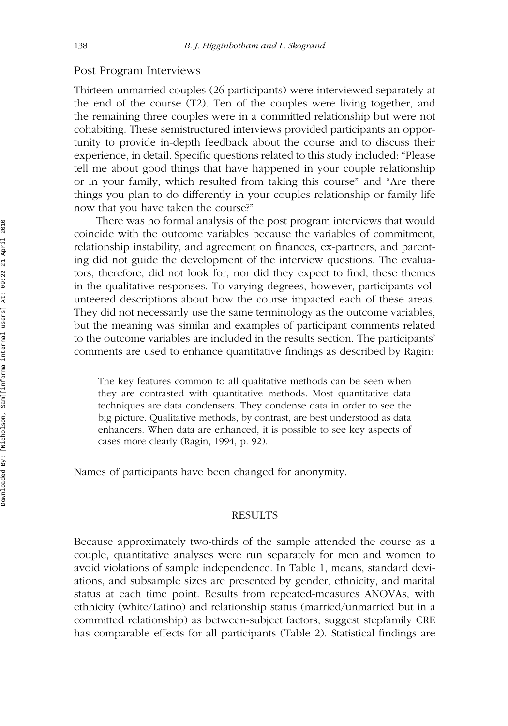#### Post Program Interviews

Thirteen unmarried couples (26 participants) were interviewed separately at the end of the course (T2). Ten of the couples were living together, and the remaining three couples were in a committed relationship but were not cohabiting. These semistructured interviews provided participants an opportunity to provide in-depth feedback about the course and to discuss their experience, in detail. Specific questions related to this study included: "Please tell me about good things that have happened in your couple relationship or in your family, which resulted from taking this course" and "Are there things you plan to do differently in your couples relationship or family life now that you have taken the course?"

There was no formal analysis of the post program interviews that would coincide with the outcome variables because the variables of commitment, relationship instability, and agreement on finances, ex-partners, and parenting did not guide the development of the interview questions. The evaluators, therefore, did not look for, nor did they expect to find, these themes in the qualitative responses. To varying degrees, however, participants volunteered descriptions about how the course impacted each of these areas. They did not necessarily use the same terminology as the outcome variables, but the meaning was similar and examples of participant comments related to the outcome variables are included in the results section. The participants' comments are used to enhance quantitative findings as described by Ragin:

The key features common to all qualitative methods can be seen when they are contrasted with quantitative methods. Most quantitative data techniques are data condensers. They condense data in order to see the big picture. Qualitative methods, by contrast, are best understood as data enhancers. When data are enhanced, it is possible to see key aspects of cases more clearly (Ragin, 1994, p. 92).

Names of participants have been changed for anonymity.

## RESULTS

Because approximately two-thirds of the sample attended the course as a couple, quantitative analyses were run separately for men and women to avoid violations of sample independence. In Table 1, means, standard deviations, and subsample sizes are presented by gender, ethnicity, and marital status at each time point. Results from repeated-measures ANOVAs, with ethnicity (white/Latino) and relationship status (married/unmarried but in a committed relationship) as between-subject factors, suggest stepfamily CRE has comparable effects for all participants (Table 2). Statistical findings are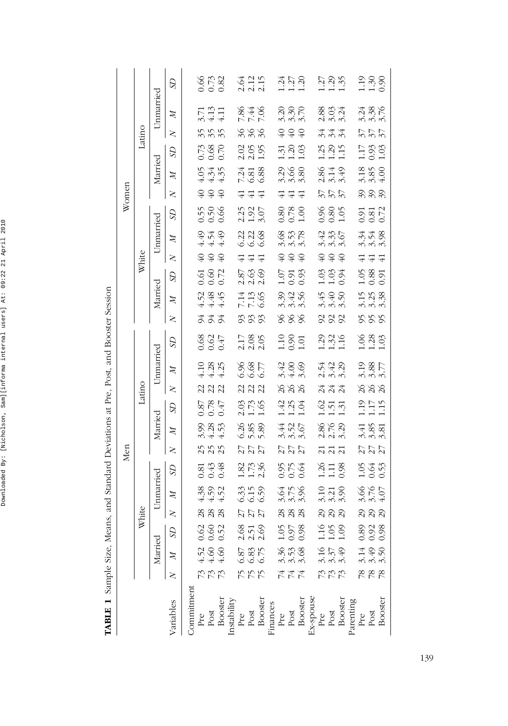|                       |            |                      |                                                          |       |                      |                            | Men          |                      |                                           |        |                |                   |            |                       |                   |                                                                                                                           |                   |                      | Women            |                         |                                    |                |                        |                      |
|-----------------------|------------|----------------------|----------------------------------------------------------|-------|----------------------|----------------------------|--------------|----------------------|-------------------------------------------|--------|----------------|-------------------|------------|-----------------------|-------------------|---------------------------------------------------------------------------------------------------------------------------|-------------------|----------------------|------------------|-------------------------|------------------------------------|----------------|------------------------|----------------------|
|                       |            |                      |                                                          | White |                      |                            |              |                      |                                           | Latino |                |                   |            |                       |                   | White                                                                                                                     |                   |                      |                  |                         |                                    | Latino         |                        |                      |
|                       |            | Married              |                                                          |       | Unmarried            |                            |              | Married              |                                           |        | Unmarried      |                   |            | Married               |                   |                                                                                                                           | Unmarried         |                      |                  | Married                 |                                    |                | Unmarried              |                      |
| <sup>7</sup> ariables |            | $\vert$              | $\mathcal{L}$                                            | ≿     | Ħ                    | S                          | $\geq$       | Ħ                    | S                                         | $\geq$ | Z              | S                 | 2          | Z                     | SD                | 2                                                                                                                         | Ħ                 | SD                   | $\geq$           | Ħ                       | SD                                 | $\geq$         | Ħ                      | SD                   |
|                       |            |                      |                                                          |       |                      |                            |              |                      |                                           |        |                |                   |            |                       |                   |                                                                                                                           |                   |                      |                  |                         |                                    |                |                        |                      |
|                       |            |                      | $0.62$<br>$0.60$<br>$0.52$                               |       |                      |                            |              |                      |                                           |        |                |                   |            |                       |                   |                                                                                                                           |                   |                      |                  |                         |                                    |                |                        |                      |
|                       | 772        |                      |                                                          | ೫ ೫ ೫ | 450<br>4452<br>444   | 8.4.48<br>0.4.48           | 88 B         | 3.33<br>3.4 53       | 41<br>0.58<br>0.47                        | 222    | 385<br>343     | ०००<br>१९५        | なまま        | 4.44<br>4.44          | 582<br>582        | 4 4 4                                                                                                                     | 4.4.4)<br>4.4.4   | 238<br>238           | 4 4 4            | 4.4.4.<br>4.4.4         | 0.78<br>0.00<br>0.0                | 355            | 2.71<br>3.411<br>4.11  | 858<br>858           |
|                       |            |                      |                                                          |       |                      |                            |              |                      |                                           |        |                |                   |            |                       |                   |                                                                                                                           |                   |                      |                  |                         |                                    |                |                        |                      |
|                       |            |                      |                                                          |       |                      |                            |              |                      |                                           |        |                |                   |            |                       |                   |                                                                                                                           |                   |                      |                  |                         |                                    |                |                        |                      |
|                       |            |                      |                                                          |       |                      |                            |              |                      |                                           |        |                |                   |            |                       |                   |                                                                                                                           |                   |                      |                  |                         |                                    |                |                        |                      |
|                       |            |                      |                                                          | 27 27 |                      |                            | 27<br>27     |                      |                                           | 222    |                | 2.13<br>2.36      | 222        |                       | 2.39<br>2.39      | <b>444</b>                                                                                                                | 338<br>238        | 2.35<br>1.95<br>3.07 | 4<br>4<br>4<br>4 | ಗೆ ಪ್ರಜ್ಞ<br>ಗೆ ಪ್ರಜ್ಞೆ | 855<br>885                         | ನೆ ನೆ ನೆ       | 27.18<br>24.18         |                      |
|                       | 775<br>175 |                      | $2.51$<br>$2.51$<br>$2.51$<br>$1.05$<br>$1.05$<br>$0.98$ |       | 335<br>SSS           | $1.32$<br>$1.73$<br>$2.36$ |              | 8588<br>6589         | $\frac{3}{1}$ $\frac{3}{1}$ $\frac{6}{5}$ |        | 5.887<br>8.897 |                   |            | 7.13<br>7.13<br>6.65  |                   |                                                                                                                           |                   |                      |                  |                         |                                    |                |                        | 3.11<br>2.11<br>2.12 |
|                       |            |                      |                                                          |       |                      |                            |              |                      |                                           |        |                |                   |            |                       |                   |                                                                                                                           |                   |                      |                  |                         |                                    |                |                        |                      |
|                       |            |                      |                                                          |       |                      |                            |              |                      |                                           |        |                |                   |            |                       |                   |                                                                                                                           |                   |                      |                  |                         |                                    |                |                        |                      |
|                       |            |                      |                                                          | ೫ ೫ ೫ | 3.5%<br>25%          | 0.0.9<br>0.0.9             | 27<br>27     | 3.50<br>3.50<br>3.67 | 4 1 1 2<br>1 1 2                          | 888    | 486<br>348     | $\frac{285}{100}$ | 888        | 3345<br>3345          | $\frac{0}{0.5}$   | $\begin{array}{ccccc} & \mathcal{L} & \mathcal{L} & \mathcal{L} \\ & \mathcal{L} & \mathcal{L} & \mathcal{L} \end{array}$ | 8578<br>3578      | 8. R<br>0. D<br>0. D | ねねね              | 23<br>2368              | 53<br>123                          | ききき            | ನ ನೆ ನೆ<br>ಸೆ ನೆ ನ     |                      |
|                       | ドドド        |                      |                                                          |       |                      |                            |              |                      |                                           |        |                |                   |            |                       |                   |                                                                                                                           |                   |                      |                  |                         |                                    |                |                        | 125<br>175           |
|                       |            |                      |                                                          |       |                      |                            |              |                      |                                           |        |                |                   |            |                       |                   |                                                                                                                           |                   |                      |                  |                         |                                    |                |                        |                      |
|                       |            |                      |                                                          |       |                      |                            |              |                      |                                           |        |                |                   |            |                       |                   |                                                                                                                           |                   |                      |                  |                         |                                    |                |                        |                      |
|                       |            |                      |                                                          |       |                      |                            | <u>ដ ដ ដ</u> |                      | <u>영급품</u>                                |        |                | 333<br>115        | 222        | 44<br>3.40<br>3.50    | 333<br>1934       | 4 4 4<br>4                                                                                                                | 3.35<br>3.35      | 8.85<br>0.05         | 37<br>37         | 8649<br>2549            | $\frac{25}{12}$<br>$\frac{25}{12}$ | おおお            | 88<br>2.3.24<br>2.5.26 |                      |
|                       | じじじ        | 3.16<br>3.37<br>3.49 | $\begin{array}{c} 1.16 \\ 1.05 \\ 1.0 \end{array}$       | ର ର ର | 3.38<br>3.39         | $\frac{26}{1.18}$          |              | 2.86<br>2.79         |                                           |        | 7.42<br>7.42   |                   |            |                       |                   |                                                                                                                           |                   |                      |                  |                         |                                    |                |                        |                      |
|                       |            |                      |                                                          |       |                      |                            |              |                      |                                           |        |                |                   |            |                       |                   |                                                                                                                           |                   |                      |                  |                         |                                    |                |                        |                      |
|                       |            |                      |                                                          |       |                      |                            |              |                      |                                           |        |                |                   |            |                       |                   |                                                                                                                           |                   |                      |                  |                         |                                    |                |                        |                      |
|                       | 888        |                      |                                                          | ର ର ର | 8.25<br>2.49<br>2.49 | 1.93<br>0.53               | 27<br>27     | ತ್ತ ಜಿ<br>ನೆ. ಜಿ. ಸ  | 227                                       | 888    | 3.38<br>3.36   | 8 8 9<br>1 1 9    | <b>355</b> | 15<br>3.3.38<br>3.3.9 |                   | <b>444</b>                                                                                                                | 3.3<br>3.4<br>3.9 | 5.85<br>2.85         | ನಿನಿನಿ           | 3.36<br>3.36            |                                    | 37<br>37<br>37 | 3.38<br>3.38           |                      |
|                       |            | 3.14<br>3.49         | 8888                                                     |       |                      |                            |              |                      |                                           |        |                |                   |            |                       | $\frac{58}{0.30}$ |                                                                                                                           |                   |                      |                  |                         | 1.17<br>0.93<br>1.03               |                |                        | 0<br>138<br>138      |

TABLE 1 Sample Size, Means, and Standard Deviations at Pre, Post, and Booster Session **TABLE 1** Sample Size, Means, and Standard Deviations at Pre, Post, and Booster Session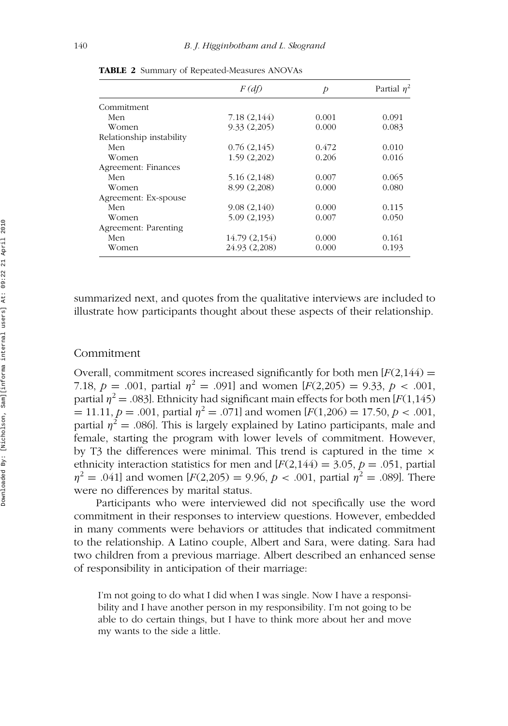|                          | F(df)         | Þ     | Partial $n^2$ |
|--------------------------|---------------|-------|---------------|
| Commitment               |               |       |               |
| Men                      | 7.18 (2,144)  | 0.001 | 0.091         |
| Women                    | 9.33(2,205)   | 0.000 | 0.083         |
| Relationship instability |               |       |               |
| Men                      | 0.76(2,145)   | 0.472 | 0.010         |
| Women                    | 1.59(2,202)   | 0.206 | 0.016         |
| Agreement: Finances      |               |       |               |
| Men                      | 5.16 (2,148)  | 0.007 | 0.065         |
| Women                    | 8.99 (2,208)  | 0.000 | 0.080         |
| Agreement: Ex-spouse     |               |       |               |
| Men                      | 9.08(2,140)   | 0.000 | 0.115         |
| Women                    | 5.09(2,193)   | 0.007 | 0.050         |
| Agreement: Parenting     |               |       |               |
| Men                      | 14.79 (2,154) | 0.000 | 0.161         |
| Women                    | 24.93 (2,208) | 0.000 | 0.193         |

**TABLE 2** Summary of Repeated-Measures ANOVAs

summarized next, and quotes from the qualitative interviews are included to illustrate how participants thought about these aspects of their relationship.

## Commitment

Overall, commitment scores increased significantly for both men  $[F(2,144) =$ 7.18,  $p = .001$ , partial  $\eta^2 = .091$  and women  $[F(2,205) = 9.33, p < .001,$ partial  $\eta^2$  = .083]. Ethnicity had significant main effects for both men [*F*(1,145)  $= 11.11, p = .001$ , partial  $\eta^2 = .071$  and women  $[F(1,206) = 17.50, p < .001,$ partial  $\eta^2 = .086$ . This is largely explained by Latino participants, male and female, starting the program with lower levels of commitment. However, by T3 the differences were minimal. This trend is captured in the time  $\times$ ethnicity interaction statistics for men and  $[F(2,144) = 3.05, p = .051$ , partial  $\eta^2 = .041$ ] and women  $[F(2,205) = 9.96, p < .001,$  partial  $\eta^2 = .089$ ]. There were no differences by marital status.

Participants who were interviewed did not specifically use the word commitment in their responses to interview questions. However, embedded in many comments were behaviors or attitudes that indicated commitment to the relationship. A Latino couple, Albert and Sara, were dating. Sara had two children from a previous marriage. Albert described an enhanced sense of responsibility in anticipation of their marriage:

I'm not going to do what I did when I was single. Now I have a responsibility and I have another person in my responsibility. I'm not going to be able to do certain things, but I have to think more about her and move my wants to the side a little.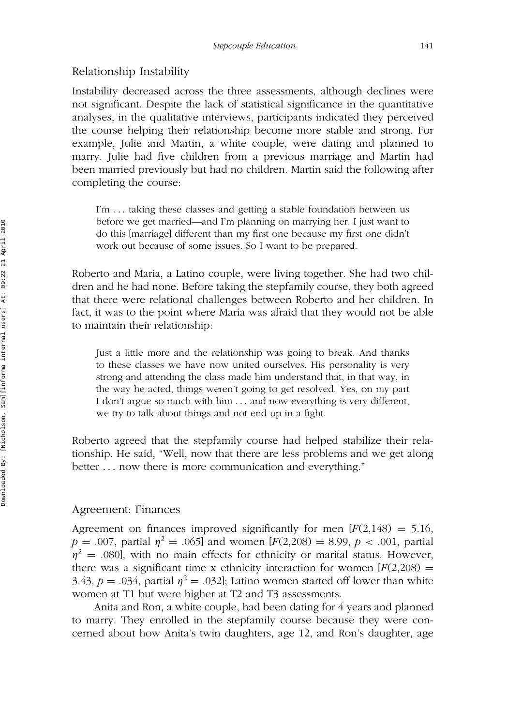#### Relationship Instability

Instability decreased across the three assessments, although declines were not significant. Despite the lack of statistical significance in the quantitative analyses, in the qualitative interviews, participants indicated they perceived the course helping their relationship become more stable and strong. For example, Julie and Martin, a white couple, were dating and planned to marry. Julie had five children from a previous marriage and Martin had been married previously but had no children. Martin said the following after completing the course:

I'm ... taking these classes and getting a stable foundation between us before we get married—and I'm planning on marrying her. I just want to do this [marriage] different than my first one because my first one didn't work out because of some issues. So I want to be prepared.

Roberto and Maria, a Latino couple, were living together. She had two children and he had none. Before taking the stepfamily course, they both agreed that there were relational challenges between Roberto and her children. In fact, it was to the point where Maria was afraid that they would not be able to maintain their relationship:

Just a little more and the relationship was going to break. And thanks to these classes we have now united ourselves. His personality is very strong and attending the class made him understand that, in that way, in the way he acted, things weren't going to get resolved. Yes, on my part I don't argue so much with him ... and now everything is very different, we try to talk about things and not end up in a fight.

Roberto agreed that the stepfamily course had helped stabilize their relationship. He said, "Well, now that there are less problems and we get along better ... now there is more communication and everything."

#### Agreement: Finances

Agreement on finances improved significantly for men  $[F(2,148) = 5.16]$ ,  $p = .007$ , partial  $\eta^2 = .065$ ] and women  $[F(2,208) = 8.99, p < .001,$  partial  $\eta^2$  = .080, with no main effects for ethnicity or marital status. However, there was a significant time x ethnicity interaction for women  $[F(2,208) =$ 3.43,  $p = 0.034$ , partial  $\eta^2 = 0.032$ , Latino women started off lower than white women at T1 but were higher at T2 and T3 assessments.

Anita and Ron, a white couple, had been dating for 4 years and planned to marry. They enrolled in the stepfamily course because they were concerned about how Anita's twin daughters, age 12, and Ron's daughter, age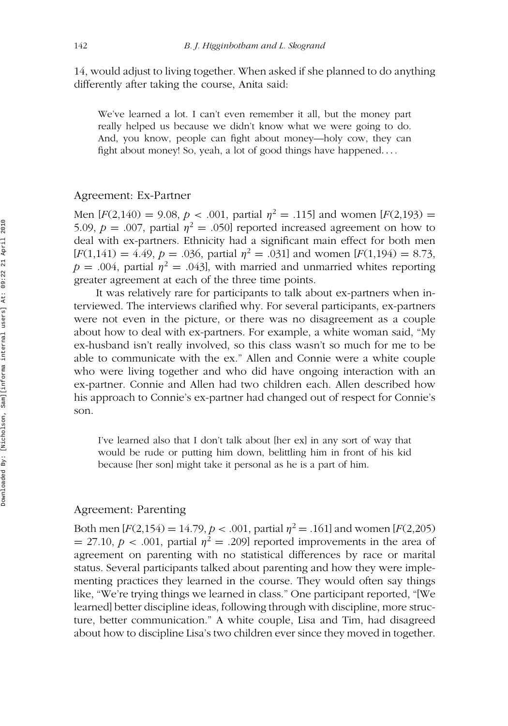14, would adjust to living together. When asked if she planned to do anything differently after taking the course, Anita said:

We've learned a lot. I can't even remember it all, but the money part really helped us because we didn't know what we were going to do. And, you know, people can fight about money—holy cow, they can fight about money! So, yeah, a lot of good things have happened... .

#### Agreement: Ex-Partner

Men  $[F(2,140) = 9.08, p < .001$ , partial  $\eta^2 = .115$ ] and women  $[F(2,193) =$ 5.09,  $p = .007$ , partial  $\eta^2 = .050$ ] reported increased agreement on how to deal with ex-partners. Ethnicity had a significant main effect for both men  $[F(1,141) = 4.49, p = .036,$  partial  $\eta^2 = .031$  and women  $[F(1,194) = 8.73,$  $p = .004$ , partial  $\eta^2 = .043$ , with married and unmarried whites reporting greater agreement at each of the three time points.

It was relatively rare for participants to talk about ex-partners when interviewed. The interviews clarified why. For several participants, ex-partners were not even in the picture, or there was no disagreement as a couple about how to deal with ex-partners. For example, a white woman said, "My ex-husband isn't really involved, so this class wasn't so much for me to be able to communicate with the ex." Allen and Connie were a white couple who were living together and who did have ongoing interaction with an ex-partner. Connie and Allen had two children each. Allen described how his approach to Connie's ex-partner had changed out of respect for Connie's son.

I've learned also that I don't talk about [her ex] in any sort of way that would be rude or putting him down, belittling him in front of his kid because [her son] might take it personal as he is a part of him.

## Agreement: Parenting

Both men  $[F(2,154) = 14.79, p < .001$ , partial  $\eta^2 = .161$  and women  $[F(2,205)$  $=$  27.10,  $p < .001$ , partial  $\eta^2 = .209$ ] reported improvements in the area of agreement on parenting with no statistical differences by race or marital status. Several participants talked about parenting and how they were implementing practices they learned in the course. They would often say things like, "We're trying things we learned in class." One participant reported, "[We learned] better discipline ideas, following through with discipline, more structure, better communication." A white couple, Lisa and Tim, had disagreed about how to discipline Lisa's two children ever since they moved in together.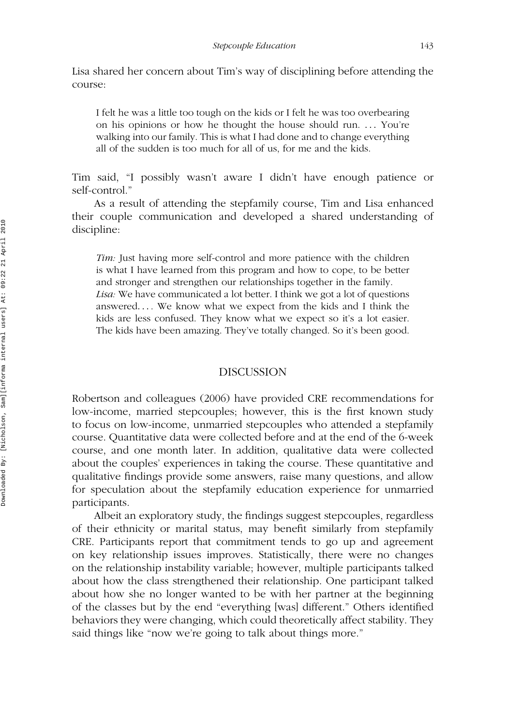Lisa shared her concern about Tim's way of disciplining before attending the course:

I felt he was a little too tough on the kids or I felt he was too overbearing on his opinions or how he thought the house should run. ... You're walking into our family. This is what I had done and to change everything all of the sudden is too much for all of us, for me and the kids.

Tim said, "I possibly wasn't aware I didn't have enough patience or self-control."

As a result of attending the stepfamily course, Tim and Lisa enhanced their couple communication and developed a shared understanding of discipline:

*Tim:* Just having more self-control and more patience with the children is what I have learned from this program and how to cope, to be better and stronger and strengthen our relationships together in the family. *Lisa:* We have communicated a lot better. I think we got a lot of questions answered... . We know what we expect from the kids and I think the kids are less confused. They know what we expect so it's a lot easier. The kids have been amazing. They've totally changed. So it's been good.

#### DISCUSSION

Robertson and colleagues (2006) have provided CRE recommendations for low-income, married stepcouples; however, this is the first known study to focus on low-income, unmarried stepcouples who attended a stepfamily course. Quantitative data were collected before and at the end of the 6-week course, and one month later. In addition, qualitative data were collected about the couples' experiences in taking the course. These quantitative and qualitative findings provide some answers, raise many questions, and allow for speculation about the stepfamily education experience for unmarried participants.

Albeit an exploratory study, the findings suggest stepcouples, regardless of their ethnicity or marital status, may benefit similarly from stepfamily CRE. Participants report that commitment tends to go up and agreement on key relationship issues improves. Statistically, there were no changes on the relationship instability variable; however, multiple participants talked about how the class strengthened their relationship. One participant talked about how she no longer wanted to be with her partner at the beginning of the classes but by the end "everything [was] different." Others identified behaviors they were changing, which could theoretically affect stability. They said things like "now we're going to talk about things more."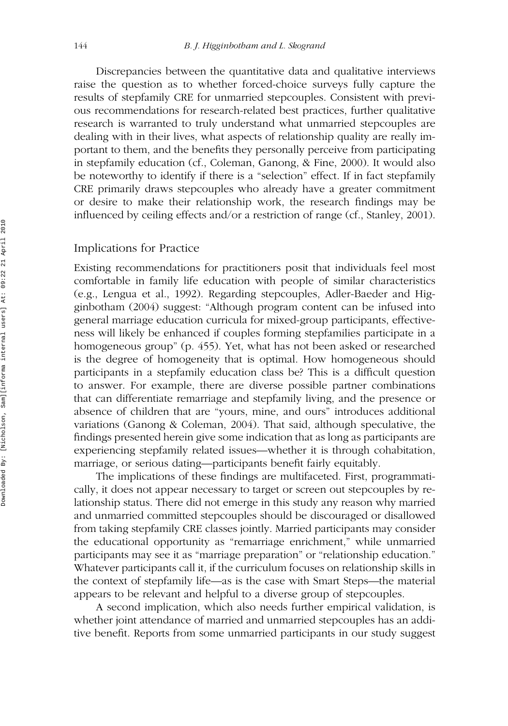Discrepancies between the quantitative data and qualitative interviews raise the question as to whether forced-choice surveys fully capture the results of stepfamily CRE for unmarried stepcouples. Consistent with previous recommendations for research-related best practices, further qualitative research is warranted to truly understand what unmarried stepcouples are dealing with in their lives, what aspects of relationship quality are really important to them, and the benefits they personally perceive from participating in stepfamily education (cf., Coleman, Ganong, & Fine, 2000). It would also be noteworthy to identify if there is a "selection" effect. If in fact stepfamily CRE primarily draws stepcouples who already have a greater commitment or desire to make their relationship work, the research findings may be influenced by ceiling effects and/or a restriction of range (cf., Stanley, 2001).

#### Implications for Practice

Existing recommendations for practitioners posit that individuals feel most comfortable in family life education with people of similar characteristics (e.g., Lengua et al., 1992). Regarding stepcouples, Adler-Baeder and Higginbotham (2004) suggest: "Although program content can be infused into general marriage education curricula for mixed-group participants, effectiveness will likely be enhanced if couples forming stepfamilies participate in a homogeneous group" (p. 455). Yet, what has not been asked or researched is the degree of homogeneity that is optimal. How homogeneous should participants in a stepfamily education class be? This is a difficult question to answer. For example, there are diverse possible partner combinations that can differentiate remarriage and stepfamily living, and the presence or absence of children that are "yours, mine, and ours" introduces additional variations (Ganong & Coleman, 2004). That said, although speculative, the findings presented herein give some indication that as long as participants are experiencing stepfamily related issues—whether it is through cohabitation, marriage, or serious dating—participants benefit fairly equitably.

The implications of these findings are multifaceted. First, programmatically, it does not appear necessary to target or screen out stepcouples by relationship status. There did not emerge in this study any reason why married and unmarried committed stepcouples should be discouraged or disallowed from taking stepfamily CRE classes jointly. Married participants may consider the educational opportunity as "remarriage enrichment," while unmarried participants may see it as "marriage preparation" or "relationship education." Whatever participants call it, if the curriculum focuses on relationship skills in the context of stepfamily life—as is the case with Smart Steps—the material appears to be relevant and helpful to a diverse group of stepcouples.

A second implication, which also needs further empirical validation, is whether joint attendance of married and unmarried stepcouples has an additive benefit. Reports from some unmarried participants in our study suggest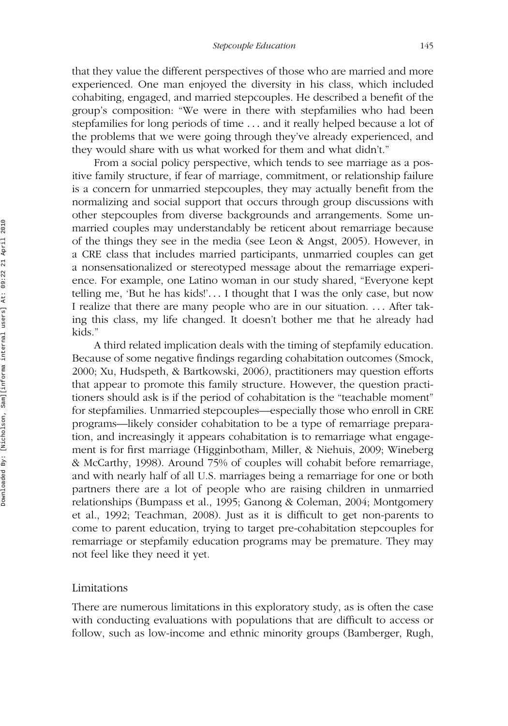that they value the different perspectives of those who are married and more experienced. One man enjoyed the diversity in his class, which included cohabiting, engaged, and married stepcouples. He described a benefit of the group's composition: "We were in there with stepfamilies who had been stepfamilies for long periods of time ... and it really helped because a lot of the problems that we were going through they've already experienced, and they would share with us what worked for them and what didn't."

From a social policy perspective, which tends to see marriage as a positive family structure, if fear of marriage, commitment, or relationship failure is a concern for unmarried stepcouples, they may actually benefit from the normalizing and social support that occurs through group discussions with other stepcouples from diverse backgrounds and arrangements. Some unmarried couples may understandably be reticent about remarriage because of the things they see in the media (see Leon & Angst, 2005). However, in a CRE class that includes married participants, unmarried couples can get a nonsensationalized or stereotyped message about the remarriage experience. For example, one Latino woman in our study shared, "Everyone kept telling me, 'But he has kids!'... I thought that I was the only case, but now I realize that there are many people who are in our situation. ... After taking this class, my life changed. It doesn't bother me that he already had kids."

A third related implication deals with the timing of stepfamily education. Because of some negative findings regarding cohabitation outcomes (Smock, 2000; Xu, Hudspeth, & Bartkowski, 2006), practitioners may question efforts that appear to promote this family structure. However, the question practitioners should ask is if the period of cohabitation is the "teachable moment" for stepfamilies. Unmarried stepcouples—especially those who enroll in CRE programs—likely consider cohabitation to be a type of remarriage preparation, and increasingly it appears cohabitation is to remarriage what engagement is for first marriage (Higginbotham, Miller, & Niehuis, 2009; Wineberg & McCarthy, 1998). Around 75% of couples will cohabit before remarriage, and with nearly half of all U.S. marriages being a remarriage for one or both partners there are a lot of people who are raising children in unmarried relationships (Bumpass et al., 1995; Ganong & Coleman, 2004; Montgomery et al., 1992; Teachman, 2008). Just as it is difficult to get non-parents to come to parent education, trying to target pre-cohabitation stepcouples for remarriage or stepfamily education programs may be premature. They may not feel like they need it yet.

#### Limitations

There are numerous limitations in this exploratory study, as is often the case with conducting evaluations with populations that are difficult to access or follow, such as low-income and ethnic minority groups (Bamberger, Rugh,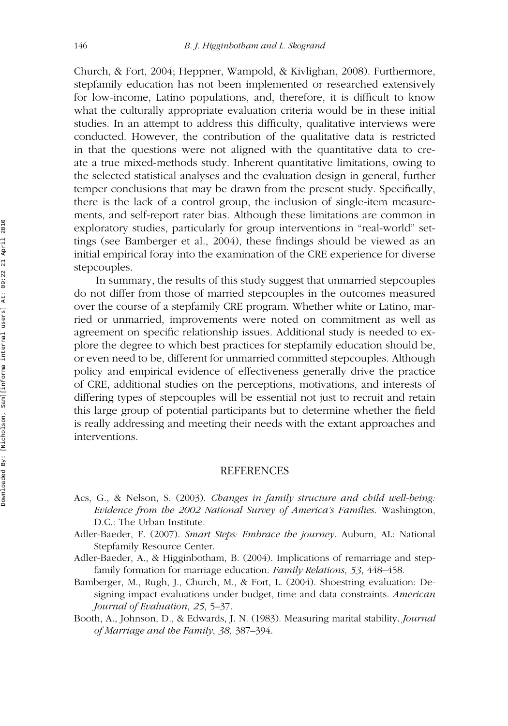Church, & Fort, 2004; Heppner, Wampold, & Kivlighan, 2008). Furthermore, stepfamily education has not been implemented or researched extensively for low-income, Latino populations, and, therefore, it is difficult to know what the culturally appropriate evaluation criteria would be in these initial studies. In an attempt to address this difficulty, qualitative interviews were conducted. However, the contribution of the qualitative data is restricted in that the questions were not aligned with the quantitative data to create a true mixed-methods study. Inherent quantitative limitations, owing to the selected statistical analyses and the evaluation design in general, further temper conclusions that may be drawn from the present study. Specifically, there is the lack of a control group, the inclusion of single-item measurements, and self-report rater bias. Although these limitations are common in exploratory studies, particularly for group interventions in "real-world" settings (see Bamberger et al., 2004), these findings should be viewed as an initial empirical foray into the examination of the CRE experience for diverse stepcouples.

In summary, the results of this study suggest that unmarried stepcouples do not differ from those of married stepcouples in the outcomes measured over the course of a stepfamily CRE program. Whether white or Latino, married or unmarried, improvements were noted on commitment as well as agreement on specific relationship issues. Additional study is needed to explore the degree to which best practices for stepfamily education should be, or even need to be, different for unmarried committed stepcouples. Although policy and empirical evidence of effectiveness generally drive the practice of CRE, additional studies on the perceptions, motivations, and interests of differing types of stepcouples will be essential not just to recruit and retain this large group of potential participants but to determine whether the field is really addressing and meeting their needs with the extant approaches and interventions.

## **REFERENCES**

- Acs, G., & Nelson, S. (2003). *Changes in family structure and child well-being: Evidence from the 2002 National Survey of America's Families*. Washington, D.C.: The Urban Institute.
- Adler-Baeder, F. (2007). *Smart Steps: Embrace the journey*. Auburn, AL: National Stepfamily Resource Center.
- Adler-Baeder, A., & Higginbotham, B. (2004). Implications of remarriage and stepfamily formation for marriage education. *Family Relations*, *53*, 448–458.
- Bamberger, M., Rugh, J., Church, M., & Fort, L. (2004). Shoestring evaluation: Designing impact evaluations under budget, time and data constraints. *American Journal of Evaluation*, *25*, 5–37.
- Booth, A., Johnson, D., & Edwards, J. N. (1983). Measuring marital stability. *Journal of Marriage and the Family*, *38*, 387–394.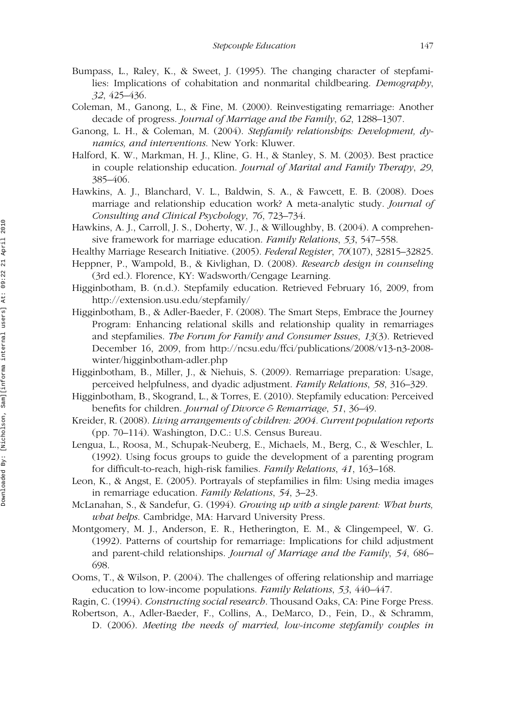- Bumpass, L., Raley, K., & Sweet, J. (1995). The changing character of stepfamilies: Implications of cohabitation and nonmarital childbearing. *Demography*, *32*, 425–436.
- Coleman, M., Ganong, L., & Fine, M. (2000). Reinvestigating remarriage: Another decade of progress. *Journal of Marriage and the Family*, *62*, 1288–1307.
- Ganong, L. H., & Coleman, M. (2004). *Stepfamily relationships: Development, dynamics, and interventions*. New York: Kluwer.
- Halford, K. W., Markman, H. J., Kline, G. H., & Stanley, S. M. (2003). Best practice in couple relationship education. *Journal of Marital and Family Therapy*, *29*, 385–406.
- Hawkins, A. J., Blanchard, V. L., Baldwin, S. A., & Fawcett, E. B. (2008). Does marriage and relationship education work? A meta-analytic study. *Journal of Consulting and Clinical Psychology*, *76*, 723–734.
- Hawkins, A. J., Carroll, J. S., Doherty, W. J., & Willoughby, B. (2004). A comprehensive framework for marriage education. *Family Relations*, *53*, 547–558.
- Healthy Marriage Research Initiative. (2005). *Federal Register*, *70*(107), 32815–32825.
- Heppner, P., Wampold, B., & Kivlighan, D. (2008). *Research design in counseling* (3rd ed.). Florence, KY: Wadsworth/Cengage Learning.
- Higginbotham, B. (n.d.). Stepfamily education. Retrieved February 16, 2009, from http://extension.usu.edu/stepfamily/
- Higginbotham, B., & Adler-Baeder, F. (2008). The Smart Steps, Embrace the Journey Program: Enhancing relational skills and relationship quality in remarriages and stepfamilies. *The Forum for Family and Consumer Issues*, *13*(3). Retrieved December 16, 2009, from http://ncsu.edu/ffci/publications/2008/v13-n3-2008 winter/higginbotham-adler.php
- Higginbotham, B., Miller, J., & Niehuis, S. (2009). Remarriage preparation: Usage, perceived helpfulness, and dyadic adjustment. *Family Relations*, *58*, 316–329.
- Higginbotham, B., Skogrand, L., & Torres, E. (2010). Stepfamily education: Perceived benefits for children. *Journal of Divorce & Remarriage*, *51*, 36–49.
- Kreider, R. (2008). *Living arrangements of children: 2004. Current population reports* (pp. 70–114). Washington, D.C.: U.S. Census Bureau.
- Lengua, L., Roosa, M., Schupak-Neuberg, E., Michaels, M., Berg, C., & Weschler, L. (1992). Using focus groups to guide the development of a parenting program for difficult-to-reach, high-risk families. *Family Relations*, *41*, 163–168.
- Leon, K., & Angst, E. (2005). Portrayals of stepfamilies in film: Using media images in remarriage education. *Family Relations*, *54*, 3–23.
- McLanahan, S., & Sandefur, G. (1994). *Growing up with a single parent: What hurts, what helps*. Cambridge, MA: Harvard University Press.
- Montgomery, M. J., Anderson, E. R., Hetherington, E. M., & Clingempeel, W. G. (1992). Patterns of courtship for remarriage: Implications for child adjustment and parent-child relationships. *Journal of Marriage and the Family*, *54*, 686– 698.
- Ooms, T., & Wilson, P. (2004). The challenges of offering relationship and marriage education to low-income populations. *Family Relations*, *53*, 440–447.
- Ragin, C. (1994). *Constructing social research*. Thousand Oaks, CA: Pine Forge Press. Robertson, A., Adler-Baeder, F., Collins, A., DeMarco, D., Fein, D., & Schramm,
	- D. (2006). *Meeting the needs of married, low-income stepfamily couples in*